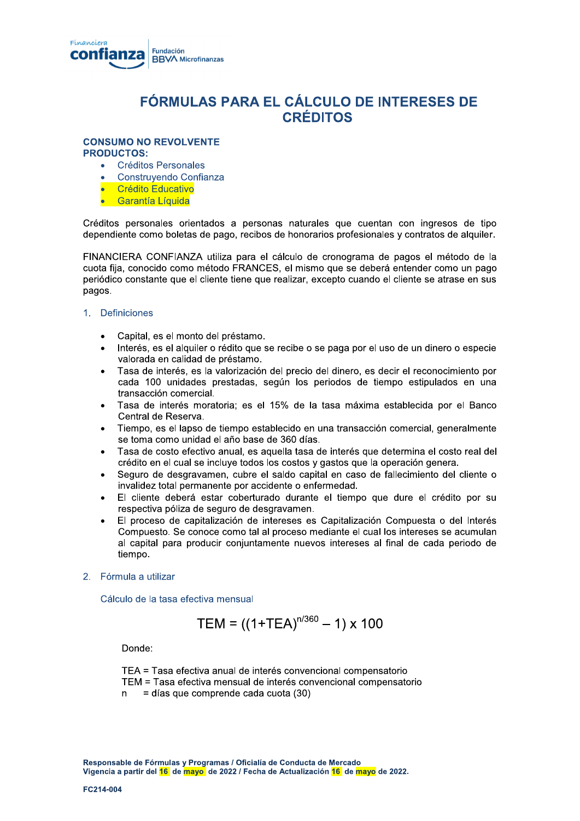

# FÓRMULAS PARA EL CÁLCULO DE INTERESES DE **CRÉDITOS**

## **CONSUMO NO REVOLVENTE**

**PRODUCTOS:** 

- **Créditos Personales**
- Construvendo Confianza
- **Crédito Educativo**
- **Garantía Líquida**

Créditos personales orientados a personas naturales que cuentan con ingresos de tipo dependiente como boletas de pago, recibos de honorarios profesionales y contratos de alguiler.

FINANCIERA CONFIANZA utiliza para el cálculo de cronograma de pagos el método de la cuota fija, conocido como método FRANCES, el mismo que se deberá entender como un pago periódico constante que el cliente tiene que realizar, excepto cuando el cliente se atrase en sus pagos.

## 1. Definiciones

- Capital, es el monto del préstamo.
- Interés, es el alguiler o rédito que se recibe o se paga por el uso de un dinero o especie valorada en calidad de préstamo.
- Tasa de interés, es la valorización del precio del dinero, es decir el reconocimiento por  $\bullet$ cada 100 unidades prestadas, según los periodos de tiempo estipulados en una transacción comercial.
- Tasa de interés moratoria; es el 15% de la tasa máxima establecida por el Banco Central de Reserva.
- Tiempo, es el lapso de tiempo establecido en una transacción comercial, generalmente se toma como unidad el año base de 360 días.
- Tasa de costo efectivo anual, es aquella tasa de interés que determina el costo real del crédito en el cual se incluve todos los costos y gastos que la operación genera.
- Seguro de desgravamen, cubre el saldo capital en caso de fallecimiento del cliente o invalidez total permanente por accidente o enfermedad.
- El cliente deberá estar coberturado durante el tiempo que dure el crédito por su respectiva póliza de seguro de desgravamen.
- El proceso de capitalización de intereses es Capitalización Compuesta o del Interés Compuesto. Se conoce como tal al proceso mediante el cual los intereses se acumulan al capital para producir conjuntamente nuevos intereses al final de cada periodo de tiempo.
- 2. Fórmula a utilizar

Cálculo de la tasa efectiva mensual

$$
TEM = ((1+TEA)^{n/360} - 1) \times 100
$$

Donde:

TEA = Tasa efectiva anual de interés convencional compensatorio TEM = Tasa efectiva mensual de interés convencional compensatorio = días que comprende cada cuota (30) n.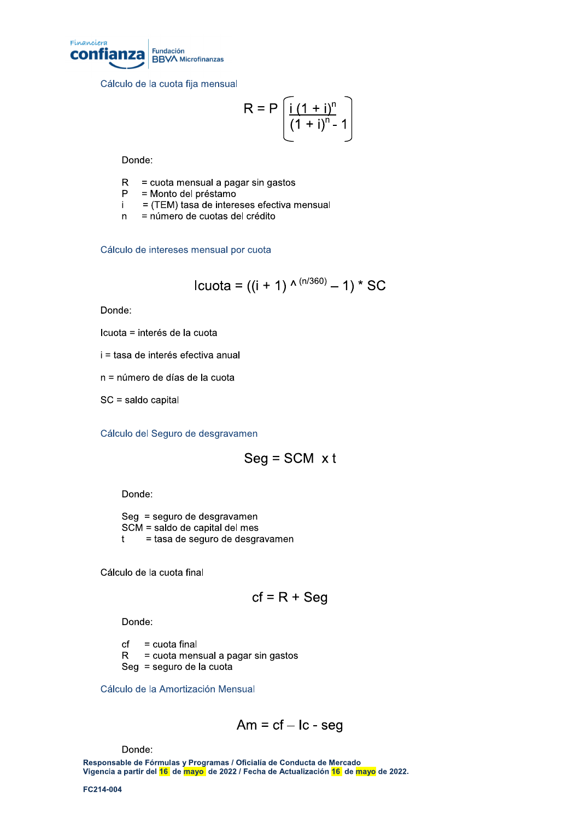

Cálculo de la cuota fija mensual

$$
R = P\left[\frac{i(1+i)^n}{(1+i)^n - 1}\right]
$$

Donde:

- $R =$  cuota mensual a pagar sin gastos
- $P =$ Monto del préstamo
- $i = (TEM)$  tasa de intereses efectiva mensual
- n = número de cuotas del crédito

Cálculo de intereses mensual por cuota

lcuota = ((i + 1) 
$$
^{\wedge (n/360)} - 1
$$
) \* SC

Donde:

Icuota = interés de la cuota

i = tasa de interés efectiva anual

n = número de días de la cuota

 $SC =$  saldo capital

Cálculo del Seguro de desgravamen

$$
Seg = SCM \times t
$$

Donde:

 $Seg =$  seguro de desgravamen  $SCM =$  saldo de capital del mes  $t =$  tasa de seguro de desgravamen

Cálculo de la cuota final

$$
cf = R + Seg
$$

Donde:

 $cf = cuota final$ 

 $R =$  cuota mensual a pagar sin gastos

 $Seq =$  seguro de la cuota

Cálculo de la Amortización Mensual

$$
Am = cf - lc - seg
$$

Donde:

Responsable de Fórmulas y Programas / Oficialía de Conducta de Mercado Vigencia a partir del 16 de mayo, de 2022 / Fecha de Actualización 16 de mayo de 2022. Donde:<br>Responsable de Fórmulas<br>Vigencia a partir del <mark>16</mark> de<br>FC214-004

FC214-004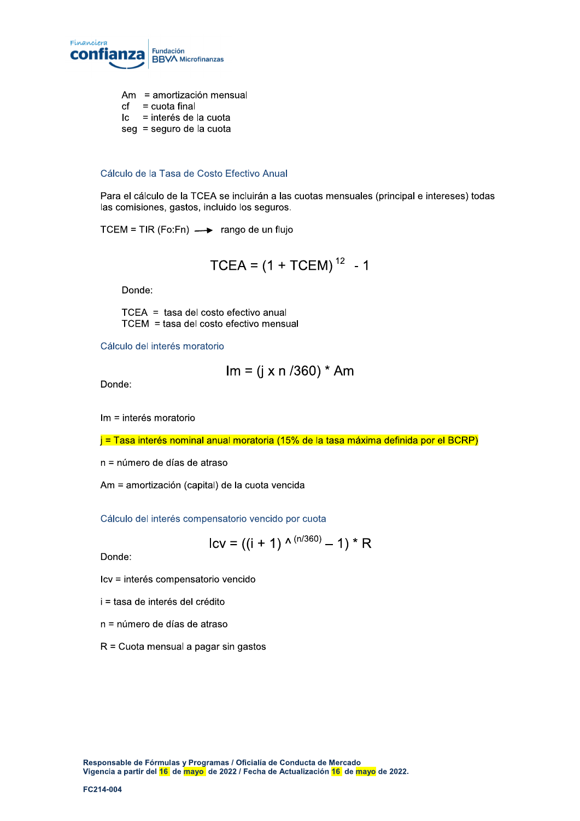

- $Am =$ amortización mensual
- $cf = cuota final$
- $\vert c \vert$  = interés de la cuota
- $seg = seguro de la cuota$

#### Cálculo de la Tasa de Costo Efectivo Anual

Para el cálculo de la TCEA se incluirán a las cuotas mensuales (principal e intereses) todas las comisiones, gastos, incluido los seguros.

 $TCEM = TIR (Fo:Fn) \longrightarrow$  rango de un flujo

$$
TCEA = (1 + TCEM)^{12} - 1
$$

Donde:

 $TCEA =$  tasa del costo efectivo anual  $TCEM = t$ asa del costo efectivo mensual

Cálculo del interés moratorio

$$
Im = (j \times n / 360) * Am
$$

Donde:

 $Im =$  interés moratorio

j = Tasa interés nominal anual moratoria (15% de la tasa máxima definida por el BCRP)

 $n =$ número de días de atraso

Am = amortización (capital) de la cuota vencida

Cálculo del interés compensatorio vencido por cuota

$$
Icv = ((i + 1) \wedge (n/360) - 1) * R
$$

Donde:

lcv = interés compensatorio vencido

- $i =$  tasa de interés del crédito
- n = número de días de atraso
- $R =$  Cuota mensual a pagar sin gastos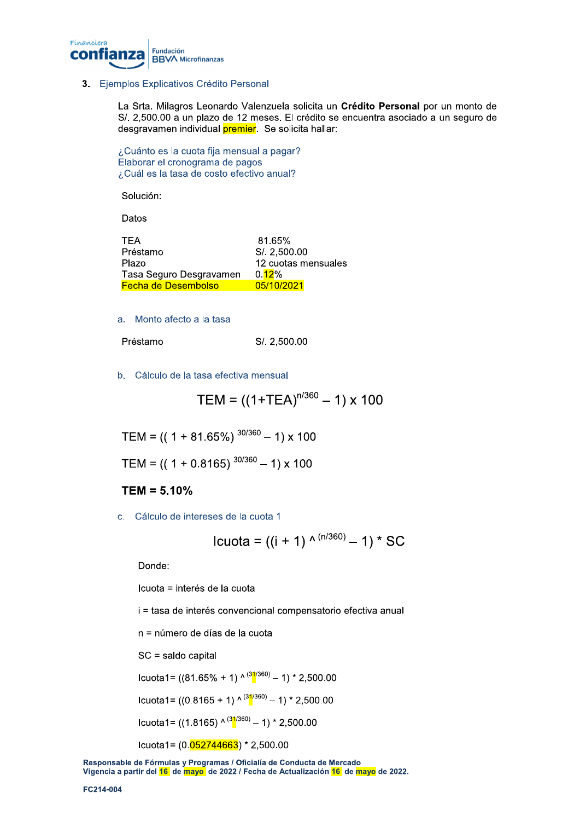

## 3. Ejemplos Explicativos Crédito Personal

La Srta. Milagros Leonardo Valenzuela solicita un Crédito Personal por un monto de S/, 2,500.00 a un plazo de 12 meses. El crédito se encuentra asociado a un seguro de desgravamen individual premier. Se solicita hallar:

¿Cuánto es la cuota fija mensual a pagar? Elaborar el cronograma de pagos ¿Cuál es la tasa de costo efectivo anual?

Solución:

Datos

| <b>TFA</b>                 | 81.65%              |
|----------------------------|---------------------|
| Préstamo                   | S/. 2,500.00        |
| Plazo                      | 12 cuotas mensuales |
| Tasa Seguro Desgravamen    | 0.12%               |
| <b>Fecha de Desembolso</b> | 05/10/2021          |

a. Monto afecto a la tasa

| Préstamo | S/. 2,500.00 |
|----------|--------------|
|----------|--------------|

b. Cálculo de la tasa efectiva mensual

$$
TEM = ((1+TEA)^{n/360} - 1) \times 100
$$

TEM =  $((1 + 81.65\%)^{30/360} - 1) \times 100$ 

TEM =  $(( 1 + 0.8165) ^{30/360} - 1) \times 100$ 

## $TEM = 5.10%$

c. Cálculo de intereses de la cuota 1

lcuota = ((i + 1) 
$$
^{\wedge (n/360)} - 1
$$
) \* SC

Donde:

Icuota = interés de la cuota

i = tasa de interés convencional compensatorio efectiva anual

n = número de días de la cuota

SC = saldo capital

Icuota1= ((81.65% + 1) ^  $(31/360)$  – 1) \* 2,500.00

Icuota1=  $((0.8165 + 1) \wedge \frac{(31/360)}{4} - 1) * 2,500.00$ 

Icuota1= ((1.8165) ^  $(31/360)$  – 1) \* 2,500.00

Icuota1= $(0.\overline{052744663})$  \* 2,500.00

Responsable de Fórmulas y Programas / Oficialía de Conducta de Mercado Vigencia a partir del <mark>16</mark> de mayo de 2022 / Fecha de Actualización 16 de mayo de 2022.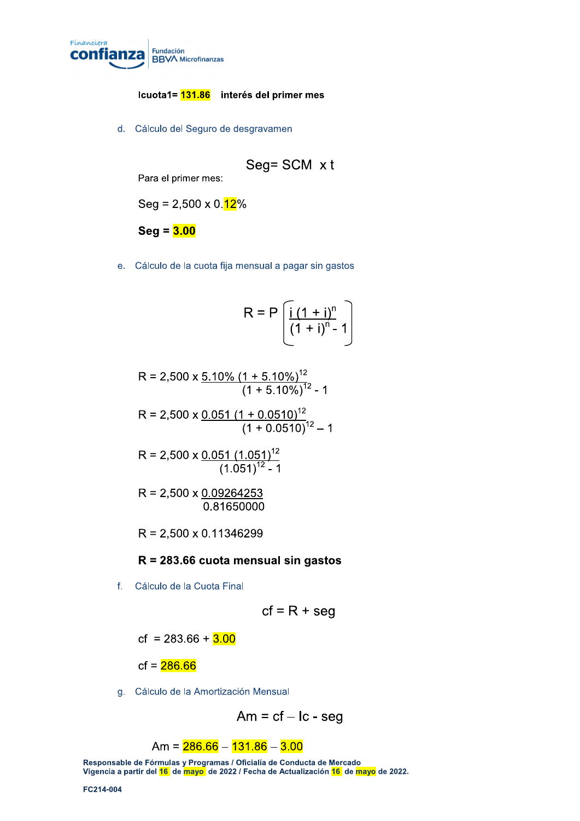

## lcuota1= <mark>131.86</mark> interés del primer mes

d. Cálculo del Seguro de desgravamen

$$
Seg = SCM \times t
$$

Para el primer mes:

 $Seg = 2,500 \times 0.\overline{12\%}$ 

 $\bf{Seq}=\overline{\bf{3.00}}$ 

e. Cálculo de la cuota fija mensual a pagar sin gastos

$$
R = P\left[\frac{i(1+i)^n}{(1+i)^n - 1}\right]
$$

$$
R = 2,500 \times \frac{5.10\% (1 + 5.10\%)^{12}}{(1 + 5.10\%)^{12}}
$$
 - 1

$$
R = 2,500 \times \frac{0.051 (1 + 0.0510)^{12}}{(1 + 0.0510)^{12} - 1}
$$

$$
R = 2,500 \times \frac{0.051 (1.051)^{12}}{(1.051)^{12} - 1}
$$

$$
R = 2,500 \times \frac{0.09264253}{0.81650000}
$$

 $R = 2,500 \times 0.11346299$ 

## $R = 283.66$  cuota mensual sin gastos

f. Cálculo de la Cuota Final

$$
cf = R + seq
$$

cf =  $283.66 + 3.00$ 

 $cf = 286.66$ 7

g. Cálculo de la Amortización Mensual

 $\Delta m$  = cf – Ic - seg

## $\rm Am = 286.66 - 131.86 - 3.00$

Responsable de Fórmulas y Programas / Oficialía de Conducta de Mercado Vigencia a partir del 16 de mayo, de 2022 / Fecha de Actualización 16 de mayo de 2022. Am =  $\frac{1}{2}$ <br>
Responsable de Fórmulas<br>
Vigencia a partir del <mark>16</mark> de<br>
FC214-004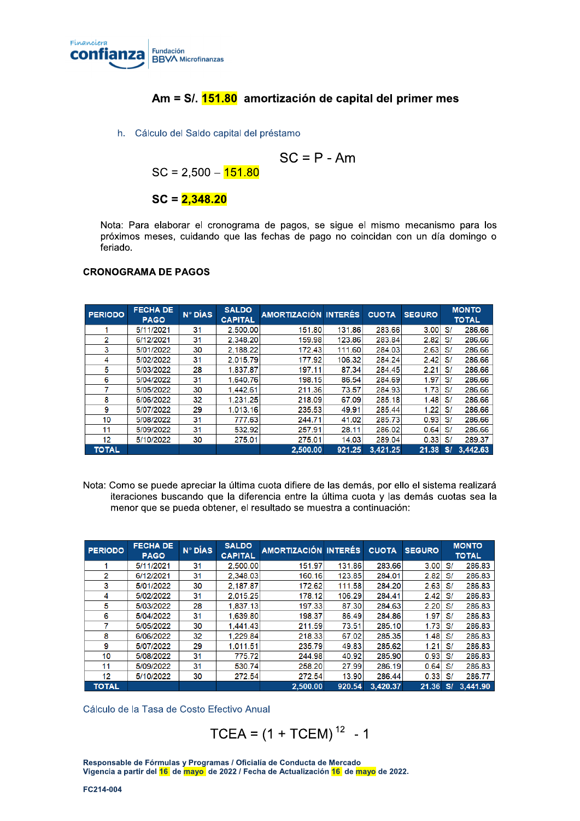

# Am = S/, <mark>151.80</mark> amortización de capital del primer mes

h. Cálculo del Saldo capital del préstamo

$$
SC = P - Am
$$

 $SC = 2,500 - 151.80$ 

## $SC = 2.348.20$

Nota: Para elaborar el cronograma de pagos, se sigue el mismo mecanismo para los próximos meses, cuidando que las fechas de pago no coincidan con un día domingo o feriado.

### CRONOGRAMA DE PAGOS

| <b>PERIODO</b> | <b>FECHA DE</b><br><b>PAGO</b> | N° DÍAS | <b>SALDO</b><br><b>CAPITAL</b> | AMORTIZACIÓN INTERÉS |        | <b>CUOTA</b> | <b>SEGURO</b> |     | <b>MONTO</b><br><b>TOTAL</b> |
|----------------|--------------------------------|---------|--------------------------------|----------------------|--------|--------------|---------------|-----|------------------------------|
|                | 5/11/2021                      | 31      | 2,500.00                       | 151.80               | 131.86 | 283.66       | 3.00          | S/  | 286.66                       |
| $\overline{2}$ | 6/12/2021                      | 31      | 2.348.20                       | 159.98               | 123.86 | 283.84       | 2.82          | S/  | 286.66                       |
| 3              | 5/01/2022                      | 30      | 2.188.22                       | 172.43               | 111.60 | 284.03       | 2.63          | S/  | 286.66                       |
| 4              | 5/02/2022                      | 31      | 2.015.79                       | 177.92               | 106.32 | 284.24       | 2.42          | S/  | 286.66                       |
| 5              | 5/03/2022                      | 28      | 1.837.87                       | 197.11               | 87.34  | 284.45       | 2.21          | S/  | 286.66                       |
| 6              | 5/04/2022                      | 31      | 1.640.76                       | 198.15               | 86.54  | 284.69       | 1.97          | S/  | 286.66                       |
|                | 5/05/2022                      | 30      | 1.442.61                       | 211.36               | 73.57  | 284.93       | 1.73          | S/  | 286.66                       |
| 8              | 6/06/2022                      | 32      | 1,231.25                       | 218.09               | 67.09  | 285.18       | 1.48          | S/  | 286.66                       |
| 9              | 5/07/2022                      | 29      | 1.013.16                       | 235.53               | 49.91  | 285.44       | 1.22          | S/  | 286.66                       |
| 10             | 5/08/2022                      | 31      | 777.63                         | 244.71               | 41.02  | 285.73       | 0.93          | S/  | 286.66                       |
| 11             | 5/09/2022                      | 31      | 532.92                         | 257.91               | 28.11  | 286.02       | 0.64          | S/  | 286.66                       |
| 12             | 5/10/2022                      | 30      | 275.01                         | 275.01               | 14.03  | 289.04       | 0.33          | S/  | 289.37                       |
| <b>TOTAL</b>   |                                |         |                                | 2,500.00             | 921.25 | 3,421.25     | 21.38         | S/I | 3,442.63                     |

Nota: Como se puede apreciar la última cuota difiere de las demás, por ello el sistema realizará iteraciones buscando que la diferencia entre la última cuota y las demás cuotas sea la menor que se pueda obtener, el resultado se muestra a continuación:

| <b>PERIODO</b> | <b>FECHA DE</b><br><b>PAGO</b> | N° DÍAS | <b>SALDO</b><br><b>CAPITAL</b> | AMORTIZACIÓN INTERÉS |        | <b>CUOTA</b> | <b>SEGURO</b> |    | <b>MONTO</b><br><b>TOTAL</b> |
|----------------|--------------------------------|---------|--------------------------------|----------------------|--------|--------------|---------------|----|------------------------------|
|                | 5/11/2021                      | 31      | 2.500.00                       | 151.97               | 131.86 | 283.66       | 3.00          | S/ | 286.83                       |
| 2              | 6/12/2021                      | 31      | 2.348.03                       | 160.16               | 123.85 | 284.01       | 2.82          | S/ | 286.83                       |
| 3              | 5/01/2022                      | 30      | 2.187.87                       | 172.62               | 111.58 | 284.20       | 2.63          | S/ | 286.83                       |
| 4              | 5/02/2022                      | 31      | 2.015.25                       | 178.12               | 106.29 | 284.41       | 2.42          | S/ | 286.83                       |
| 5              | 5/03/2022                      | 28      | 1.837.13                       | 197.33               | 87.30  | 284.63       | 2.20          | S/ | 286.83                       |
| 6              | 5/04/2022                      | 31      | 1.639.80                       | 198.37               | 86.49  | 284.86       | 1.97          | S/ | 286.83                       |
|                | 5/05/2022                      | 30      | 1.441.43                       | 211.59               | 73.51  | 285.10       | 1.73          | S/ | 286.83                       |
| 8              | 6/06/2022                      | 32      | 1.229.84                       | 218.33               | 67.02  | 285.35       | 1.48          | S/ | 286.83                       |
| 9              | 5/07/2022                      | 29      | 1.011.51                       | 235.79               | 49.83  | 285.62       | 1.21          | S/ | 286.83                       |
| 10             | 5/08/2022                      | 31      | 775.72                         | 244.98               | 40.92  | 285.90       | 0.93          | S/ | 286.83                       |
| 11             | 5/09/2022                      | 31      | 530.74                         | 258.20               | 27.99  | 286.19       | 0.64          | S/ | 286.83                       |
| 12             | 5/10/2022                      | 30      | 272.54                         | 272.54               | 13.90  | 286.44       | 0.33          | S/ | 286.77                       |
| <b>TOTAL</b>   |                                |         |                                | 2,500.00             | 920.54 | 3.420.37     | 21.36         | SI | 3.441.90                     |

Cálculo de la Tasa de Costo Efectivo Anual

```
TCEA = (1 + TCEM)^{12} - 1
```
Responsable de Fórmulas y Programas / Oficialía de Conducta de Mercado Vigencia a partir del 16 de mayo, de 2022 / Fecha de Actualización 16 de mayo de 2022. Responsable de Fórmulas<br>Vigencia a partir del <mark>16</mark> de<br>FC214-004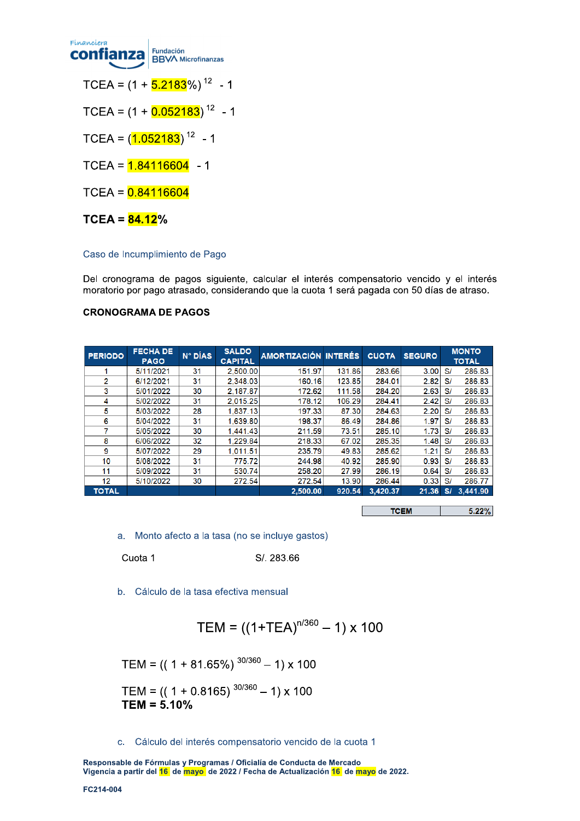

TCEA =  $(1 + \frac{5.2183}{6.9})^{12}$  - 1

TCEA =  $(1 + 0.052183)^{12}$  - 1

TCEA =  $(1.052183)^{12}$  - 1

TCEA =  $1.84116604$  - 1

 $TCEA = 0.84116604$ 

 $TCEA = 84.12%$ 

## Caso de Incumplimiento de Pago

Del cronograma de pagos siguiente, calcular el interés compensatorio vencido y el interés moratorio por pago atrasado, considerando que la cuota 1 será pagada con 50 días de atraso.

## **CRONOGRAMA DE PAGOS**

| <b>PERIODO</b> | <b>FECHA DE</b><br><b>PAGO</b> | $N^{\circ}$ DÍAS | <b>SALDO</b><br><b>CAPITAL</b> | <b>AMORTIZACIÓN INTERÉS</b> |        | <b>CUOTA</b> | <b>SEGURO</b> |    | <b>MONTO</b><br><b>TOTAL</b> |
|----------------|--------------------------------|------------------|--------------------------------|-----------------------------|--------|--------------|---------------|----|------------------------------|
|                | 5/11/2021                      | 31               | 2.500.00                       | 151.97                      | 131.86 | 283.66       | 3.00          | S/ | 286.83                       |
| $\overline{2}$ | 6/12/2021                      | 31               | 2.348.03                       | 160.16                      | 123.85 | 284.01       | 2.82          | S/ | 286.83                       |
| 3              | 5/01/2022                      | 30               | 2.187.87                       | 172.62                      | 111.58 | 284.20       | 2.63          | S/ | 286.83                       |
| 4              | 5/02/2022                      | 31               | 2.015.25                       | 178.12                      | 106.29 | 284.41       | 2.42          | S/ | 286.83                       |
| 5              | 5/03/2022                      | 28               | 1.837.13                       | 197.33                      | 87.30  | 284.63       | 2.20          | S/ | 286.83                       |
| 6              | 5/04/2022                      | 31               | 1,639.80                       | 198.37                      | 86.49  | 284.86       | 1.97          | S/ | 286.83                       |
|                | 5/05/2022                      | 30               | 1.441.43                       | 211.59                      | 73.51  | 285.10       | 1.73          | S/ | 286.83                       |
| 8              | 6/06/2022                      | 32               | 1.229.84                       | 218.33                      | 67.02  | 285.35       | 1.48          | S/ | 286.83                       |
| 9              | 5/07/2022                      | 29               | 1,011.51                       | 235.79                      | 49.83  | 285.62       | 1.21          | S/ | 286.83                       |
| 10             | 5/08/2022                      | 31               | 775.72                         | 244.98                      | 40.92  | 285.90       | 0.93          | S/ | 286.83                       |
| 11             | 5/09/2022                      | 31               | 530.74                         | 258.20                      | 27.99  | 286.19       | 0.64          | S/ | 286.83                       |
| 12             | 5/10/2022                      | 30               | 272.54                         | 272.54                      | 13.90  | 286.44       | 0.33          | S/ | 286.77                       |
| <b>TOTAL</b>   |                                |                  |                                | 2,500.00                    | 920.54 | 3,420.37     | 21.36         | S/ | 3,441.90                     |

|  | 3.22% |
|--|-------|
|--|-------|

a. Monto afecto a la tasa (no se incluye gastos)

Cuota 1

S/. 283.66

b. Cálculo de la tasa efectiva mensual

$$
TEM = ((1+TEA)^{n/360} - 1) \times 100
$$

TEM =  $(( 1 + 81.65\%)$ <sup>30/360</sup> - 1) x 100

$$
TEM = (( 1 + 0.8165) ^{30/360} - 1) \times 100
$$
  
**TEM = 5.10%**

c. Cálculo del interés compensatorio vencido de la cuota 1

Responsable de Fórmulas y Programas / Oficialía de Conducta de Mercado Vigencia a partir del 16 de mayo de 2022 / Fecha de Actualización 16 de mayo de 2022.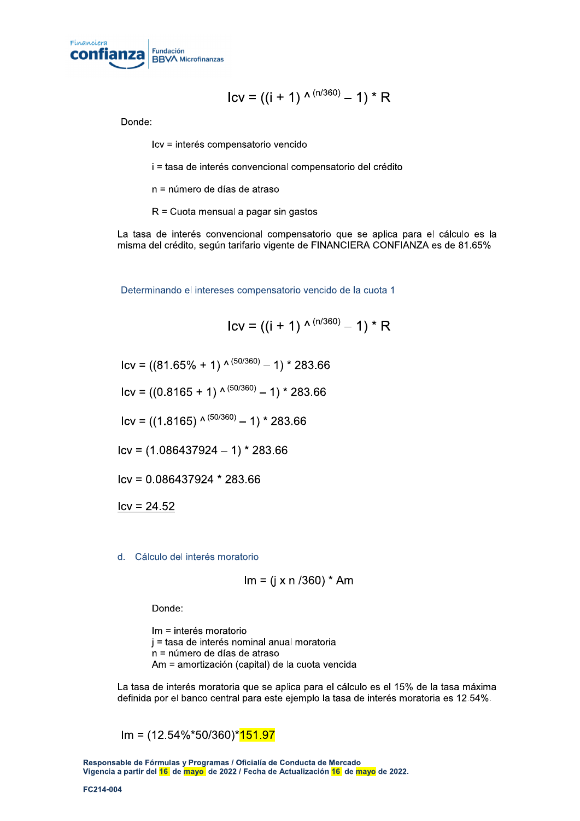

$$
Icv = ((i + 1) \wedge (n/360) - 1) * R
$$

Donde:

lcv = interés compensatorio vencido

 $i$  = tasa de interés convencional compensatorio del crédito

n = número de días de atraso

 $R =$ Cuota mensual a pagar sin gastos

La tasa de interés convencional compensatorio que se aplica para el cálculo es la misma del crédito, según tarifario vigente de FINANCIERA CONFIANZA es de 81.65%

Determinando el intereses compensatorio vencido de la cuota 1

$$
Icv = ((i + 1) \wedge (n/360) - 1) * R
$$

 $|cv| = ((81.65\% + 1) \wedge (50/360) - 1) * 283.66$ 

 $\text{lcv} = ((0.8165 + 1) \wedge^{(50/360)} - 1) * 283.66$ 

 $\text{Icv} = ((1.8165) \cdot \frac{(50/360)}{9} - 1) \cdot 283.66$ 

 $\text{Icv} = (1.086437924 - 1) * 283.66$ 

 $|{\rm cv}=0.086437924$  \* 283.66

 $Icv = 24.52$ 

#### d. Cálculo del interés moratorio

$$
Im = (j \times n / 360)^* Am
$$

Donde:

 $Im =$ interés moratorio  $j =$  tasa de interés nominal anual moratoria  $n = n$ úmero de días de atraso Am = amortización (capital) de la cuota vencida

La tasa de interés moratoria que se aplica para el cálculo es el 15% de la tasa máxima definida por el banco central para este ejemplo la tasa de interés moratoria es 12.54%.

 $Im = (12.54\% * 50/360) * 151.97$ 

Responsable de Fórmulas y Programas / Oficialía de Conducta de Mercado Vigencia a partir del 16 de mayo, de 2022 / Fecha de Actualización 16 de mayo de 2022.  $Im = (12.54)$ <br>Responsable de Fórmulas<br>Vigencia a partir del <mark>16</mark> de<br>FC214-004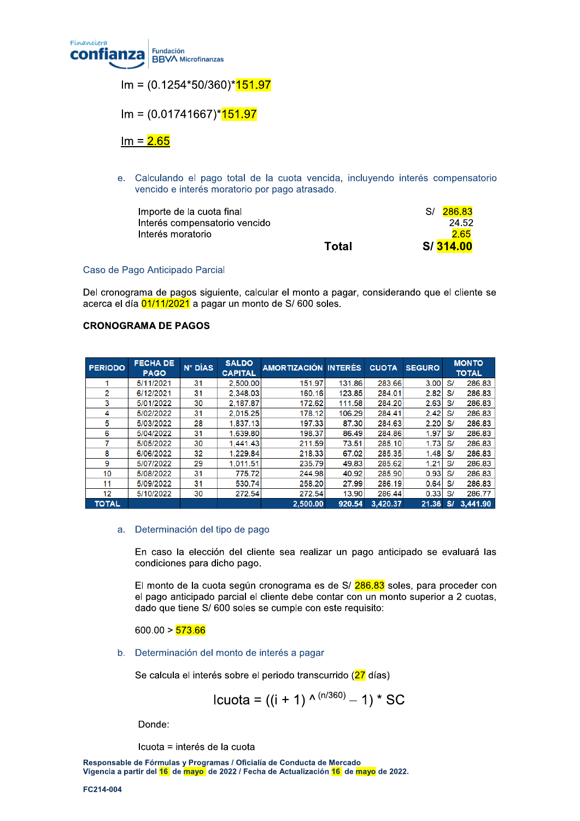

 $Im = (0.1254*50/360)*151.97$ 

 $Im = (0.01741667)^*151.97$ 

 $Im = 2.65$ 

e. Calculando el pago total de la cuota vencida, incluyendo interés compensatorio vencido e interés moratorio por pago atrasado.

| Importe de la cuota final     |       | S/ 286.83 |
|-------------------------------|-------|-----------|
| Interés compensatorio vencido |       | 24.52     |
| Interés moratorio             |       | 2.65      |
|                               | Total | S/ 314.00 |

## Caso de Pago Anticipado Parcial

Del cronograma de pagos siguiente, calcular el monto a pagar, considerando que el cliente se acerca el día 01/11/2021 a pagar un monto de S/600 soles.

## **CRONOGRAMA DE PAGOS**

| <b>PERIODO</b> | <b>FECHA DE</b><br><b>PAGO</b> | N° DÍAS | <b>SALDO</b><br><b>CAPITAL</b> | <b>AMORTIZACIÓN INTERÉS</b> |        | <b>CUOTA</b> | <b>SEGURO</b> |    | <b>MONTO</b><br><b>TOTAL</b> |
|----------------|--------------------------------|---------|--------------------------------|-----------------------------|--------|--------------|---------------|----|------------------------------|
|                | 5/11/2021                      | 31      | 2,500.00                       | 151.97                      | 131.86 | 283.66       | 3.00          | S/ | 286.83                       |
| 2              | 6/12/2021                      | 31      | 2.348.03                       | 160.16                      | 123.85 | 284.01       | 2.82          | S/ | 286.83                       |
| 3              | 5/01/2022                      | 30      | 2.187.87                       | 172.62                      | 111.58 | 284.20       | 2.63          | S/ | 286.83                       |
| 4              | 5/02/2022                      | 31      | 2.015.25                       | 178.12                      | 106.29 | 284.41       | 2.42          | S/ | 286.83                       |
| 5              | 5/03/2022                      | 28      | 1.837.13                       | 197.33                      | 87.30  | 284.63       | 2.20          | S/ | 286.83                       |
| 6              | 5/04/2022                      | 31      | 1.639.80                       | 198.37                      | 86.49  | 284.86       | 1.97          | S/ | 286.83                       |
| 7              | 5/05/2022                      | 30      | 1.441.43                       | 211.59                      | 73.51  | 285.10       | 1.73          | S/ | 286.83                       |
| 8              | 6/06/2022                      | 32      | 1,229.84                       | 218.33                      | 67.02  | 285.35       | 1.48          | S/ | 286.83                       |
| 9              | 5/07/2022                      | 29      | 1.011.51                       | 235.79                      | 49.83  | 285.62       | 1.21          | S/ | 286.83                       |
| 10             | 5/08/2022                      | 31      | 775.72                         | 244.98                      | 40.92  | 285.90       | 0.93          | S/ | 286.83                       |
| 11             | 5/09/2022                      | 31      | 530.74                         | 258.20                      | 27.99  | 286.19       | 0.64          | S/ | 286.83                       |
| 12             | 5/10/2022                      | 30      | 272.54                         | 272.54                      | 13.90  | 286.44       | 0.33          | S/ | 286.77                       |
| <b>TOTAL</b>   |                                |         |                                | 2.500.00                    | 920.54 | 3.420.37     | 21.36         | S/ | 3.441.90                     |

## a. Determinación del tipo de pago

En caso la elección del cliente sea realizar un pago anticipado se evaluará las condiciones para dicho pago.

El monto de la cuota según cronograma es de S/ 286.83 soles, para proceder con el pago anticipado parcial el cliente debe contar con un monto superior a 2 cuotas, dado que tiene S/ 600 soles se cumple con este requisito:

 $600.00 > 573.66$ 

b. Determinación del monto de interés a pagar

Se calcula el interés sobre el periodo transcurrido (27 días)

lcuota = ((i + 1) 
$$
^{\wedge (n/360)} - 1
$$
) \* SC

Donde:

Icuota = interés de la cuota

Responsable de Fórmulas y Programas / Oficialía de Conducta de Mercado Vigencia a partir del <mark>16</mark> de mayo de 2022 / Fecha de Actualización 16 de mayo de 2022.

FC214-004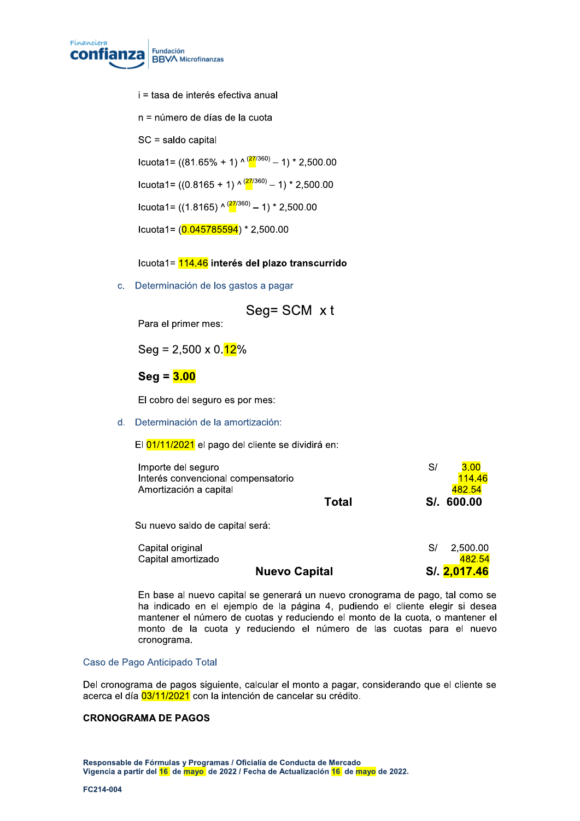

 $i =$  tasa de interés efectiva anual

n = número de días de la cuota

 $SC =$ saldo capital

 $l$ cuota1= ((81.65% + 1) ^  $\frac{(27/360)}{2}$  – 1) \* 2,500.00 Icuota1= ((0.8165 + 1) ^  $\frac{(27/360)}{2}$  – 1) \* 2,500.00 Icuota1= ((1.8165) ^  $\frac{(27/360)}{2}$  – 1) \* 2,500.00 Icuota1= $(0.045785594)$  \* 2,500.00

icuota i = <mark>114.46</mark> interes del plazo transcurrido

c. Determinación de los gastos a pagar

$$
Seg = SCM \times t
$$

Para el primer mes:

 $Seq = 2,500 \times 0.12\%$ 

beg = <mark>3.00</mark>

El cobro del seguro es por mes:

d. Determinación de la amortización:

El 01/11/2021 el pago del cliente se dividirá en:

| Importe del seguro<br>Interés convencional compensatorio<br>Amortización a capital | Total | S/<br>3.00<br>114.46<br>482.54<br>S/. 600.00 |
|------------------------------------------------------------------------------------|-------|----------------------------------------------|
| Su nuevo saldo de capital será:                                                    |       |                                              |
| Capital original<br>Capital amortizado<br><b>Nuevo Capital</b>                     |       | 2,500.00<br>S/<br>482.54<br>S/. 2,017.46     |

En base al nuevo capital se generará un nuevo cronograma de pago, tal como se ha indicado en el ejemplo de la página 4, pudiendo el cliente elegir si desea mantener el número de cuotas y reduciendo el monto de la cuota, o mantener el monto de la cuota y reduciendo el número de las cuotas para el nuevo cronograma.

#### $\mathbb{R}^2$ Caso de Pago Anticipado Total

Del cronograma de pagos siguiente, calcular el monto a pagar, considerando que el cliente se acerca el día 03/11/2021 con la intención de cancelar su crédito.

#### $\mathbf{r}$ CRONOGRAMA DE PAGOS

Responsable de Formulas y Programas / Oficialia de Conducta de Mercado<br>. vigencia a partir del <mark>16</mark> de <mark>mayo,</mark> de 2022 / Fecha de Actualización <mark>16</mark> de <mark>mayo</mark> de 2022. **CRONOGRAMA DE P/<br>Responsable de Fórmulas<br>Vigencia a partir del <mark>16</mark> de<br>FC214-004**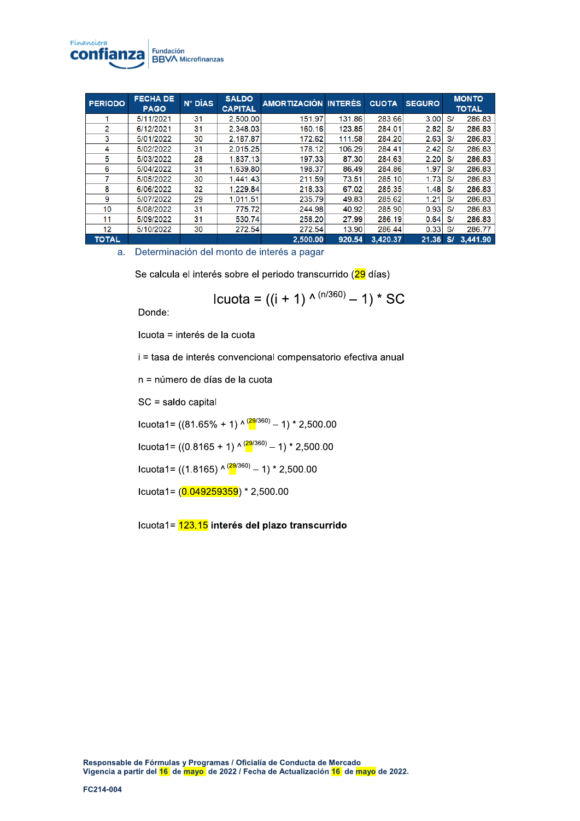

| <b>PERIODO</b> | <b>FECHA DE</b><br><b>PAGO</b> | N° DÍAS | <b>SALDO</b><br><b>CAPITAL</b> | AMORTIZACIÓN INTERÉS |        | <b>CUOTA</b> | <b>SEGURO</b> |     | <b>MONTO</b><br><b>TOTAL</b> |
|----------------|--------------------------------|---------|--------------------------------|----------------------|--------|--------------|---------------|-----|------------------------------|
|                | 5/11/2021                      | 31      | 2,500.00                       | 151.97               | 131.86 | 283.66       | 3.00          | S/  | 286.83                       |
| 2              | 6/12/2021                      | 31      | 2.348.03                       | 160.16               | 123.85 | 284.01       | 2.82          | S/  | 286.83                       |
| 3              | 5/01/2022                      | 30      | 2.187.87                       | 172.62               | 111.58 | 284.20       | 2.63          | S/  | 286.83                       |
| 4              | 5/02/2022                      | 31      | 2.015.25                       | 178.12               | 106.29 | 284.41       | 2.42          | S/  | 286.83                       |
| 5              | 5/03/2022                      | 28      | 1.837.13                       | 197.33               | 87.30  | 284.63       | 2.20          | S/  | 286.83                       |
| 6              | 5/04/2022                      | 31      | 1.639.80                       | 198.37               | 86.49  | 284.86       | 1.97          | S/  | 286.83                       |
| 7              | 5/05/2022                      | 30      | 1.441.43                       | 211.59               | 73.51  | 285.10       | 1.73          | S/  | 286.83                       |
| 8              | 6/06/2022                      | 32      | 1.229.84                       | 218.33               | 67.02  | 285.35       | 1.48          | S/  | 286.83                       |
| 9              | 5/07/2022                      | 29      | 1.011.51                       | 235.79               | 49.83  | 285.62       | 1.21          | S/  | 286.83                       |
| 10             | 5/08/2022                      | 31      | 775.72                         | 244.98               | 40.92  | 285.90       | 0.93          | S/  | 286.83                       |
| 11             | 5/09/2022                      | 31      | 530.74                         | 258.20               | 27.99  | 286.19       | 0.64          | S/  | 286.83                       |
| 12             | 5/10/2022                      | 30      | 272.54                         | 272.54               | 13.90  | 286.44       | 0.33          | S/  | 286.77                       |
| <b>TOTAL</b>   |                                |         |                                | 2.500.00             | 920.54 | 3.420.37     | 21.36         | S/I | 3.441.90                     |

a. Determinación del monto de interés a pagar

Se calcula el interés sobre el periodo transcurrido (29 días)

C2<6-)(D(>>0(E(FB(G(>1HIJKB(L(FB(M(;N(

Donde:

Icuota = interés de la cuota

i = tasa de interés convencional compensatorio efectiva anual

 $n = n$ úmero de días de la cuota

 $SC =$  saldo capital

Icuota1=  $((81.65\% + 1) \wedge \frac{(29/360)}{8} - 1) * 2,500.00$ 

Icuota1= ((0.8165 + 1) ^  $\frac{(29}{360)}$  – 1) \* 2,500.00

Icuota1= ((1.8165) ^  $\frac{(29/360)}{ }$  - 1) \* 2,500.00

 $C2$ <sub>(0.049259359)</sub>  $* 2,500.00$ 

lcuota1= 23.15 interés del plazo transcurrido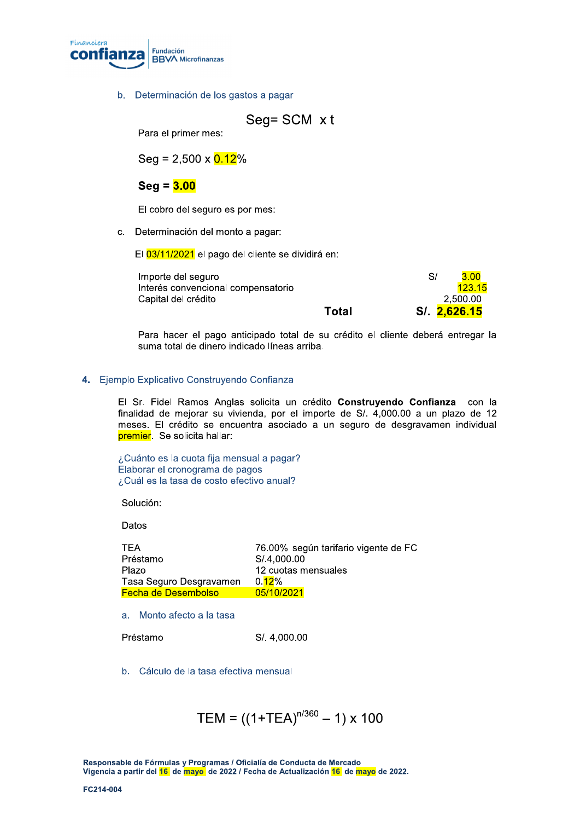

( b. Determinación de los gastos a pagar

$$
Seg = SCM \times t
$$

Para el primer mes:

 $Seq = 2,500 \times 0.12\%$ 

# beg = <mark>3.00</mark>

El cobro del seguro es por mes:

c. Determinación del monto a pagar:

El 03/11/2021 el pago del cliente se dividirá en:

| Importe del seguro                 |       | 3.00<br>S/   |
|------------------------------------|-------|--------------|
| Interés convencional compensatorio |       | 123.15       |
| Capital del crédito                |       | 2.500.00     |
|                                    | Total | S/. 2,626.15 |

Para hacer el pago anticipado total de su crédito el cliente deberá entregar la suma total de dinero indicado líneas arriba.

## **4.** Ejempio Explicativo Construyendo Confianza

 $\mathbf{r}$ El Sr. Fidel Ramos Anglas solicita un credito **Construyendo Confianza** con la finalidad de mejorar su vivienda, por el importe de  $S/1.4,000.00$  a un plazo de 12 meses. El crédito se encuentra asociado a un seguro de desgravamen individual premier. Se solicita hallar:

 $\mathbb{R}^2$  $\zeta$ Cuanto es la cuota fija mensual a pagar? Elaborar el cronograma de pagos ¿Cuál es la tasa de costo efectivo anual?

 $\mathbb{R}^{\mathbb{Z}}$ Solucion:

Datos

| <b>TFA</b>                 | 76.00% según tarifario vigente de FC |
|----------------------------|--------------------------------------|
| Préstamo                   | S/.4.000.00                          |
| Plazo                      | 12 cuotas mensuales                  |
| Tasa Seguro Desgravamen    | 0.12%                                |
| <b>Fecha de Desembolso</b> | 05/10/2021                           |
|                            |                                      |

a. Monto afecto a la tasa

Préstamo  $S/.4.000.00$ 

b. Cálculo de la tasa efectiva mensual

$$
TEM = ((1+TEA)^{n/360} - 1) \times 100
$$

Responsable de Formulas y Programas / Oficialia de Conducta de Mercado<br>. vigencia a partir del <mark>16</mark> de <mark>mayo,</mark> de 2022 / Fecha de Actualización <mark>16</mark> de <mark>mayo</mark> de 2022. Responsable de Fórmulas<br>Vigencia a partir del <mark>16</mark> de<br>FC214-004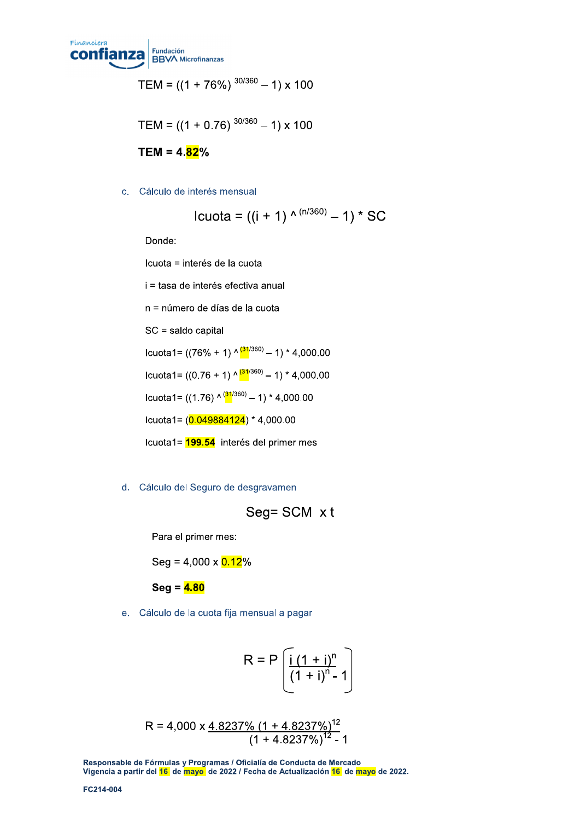

$$
TEM = ((1 + 76\%)^{30/360} - 1) \times 100
$$

$$
TEM = ((1 + 0.76)^{30/360} - 1) \times 100
$$

TEM = 4.<mark>82</mark>%

c. Cálculo de interés mensual

lcuota = ((i + 1) 
$$
^{\wedge (n/360)} - 1
$$
) \* SC

Donde:

Icuota = interés de la cuota

i = tasa de interés efectiva anual

 $n =$ número de días de la cuota

 $SC =$  saldo capital

Icuota1=  $((76\% + 1) \cdot \frac{(31/360)}{3} - 1) * 4,000.00$ 

Icuota1=  $((0.76 + 1) \sqrt{31/360} - 1) * 4,000.00$ 

Icuota1=  $((1.76) \wedge \frac{(31}{360)}-1)*4,000.00$ 

Icuota1= $(0.049884124)*4,000.00$ 

Icuota1= 199.54 interés del primer mes

d. Cálculo del Seguro de desgravamen

$$
Seg = SCM \times t
$$

Para el primer mes:

 $Seg = 4,000 \times 0.12\%$ 

 $\texttt{Seq} = \textcolor{red}{\mathbf{4.80}}$ 

e. Cálculo de la cuota fija mensual a pagar

$$
R = P\left[\frac{i(1+i)^n}{(1+i)^n - 1}\right]
$$

$$
R = 4,000 \times \frac{4.8237\% (1 + 4.8237\%)^{12}}{(1 + 4.8237\%)^{12} - 1}
$$

Responsable de Fórmulas y Programas / Oficialía de Conducta de Mercado Vigencia a partir del 16 de mayo, de 2022 / Fecha de Actualización 16 de mayo de 2022.  $R = 4,0$ <br>
Responsable de Fórmulas<br>
Vigencia a partir del <mark>16</mark> de<br>
FC214-004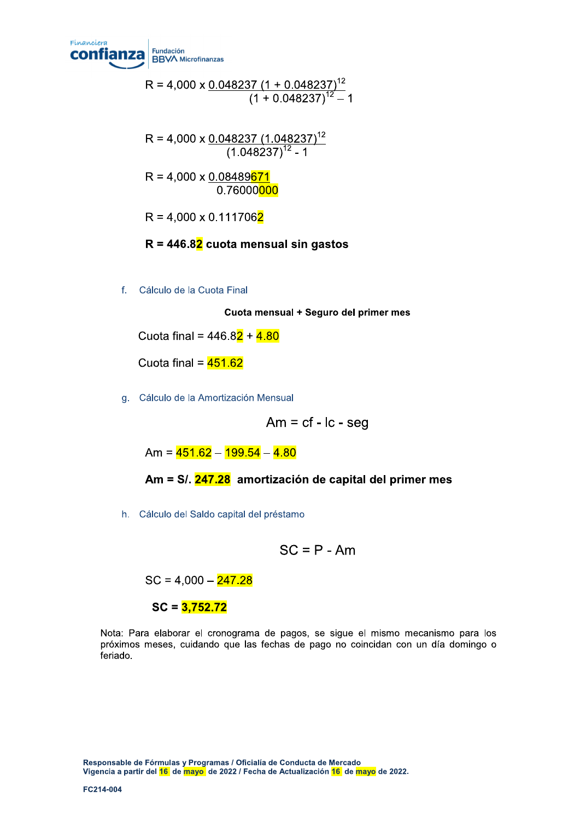

 $R = 4.000 \times 0.048237 (1 + 0.048237)^{12}$  $(1+0.048237)^{12} - 1$ 

 $R = 4.000 \times 0.048237 (1.048237)^{12}$  $(1.048237)^{12}$  - 1

 $R = 4,000 \times 0.08489671$ 0.76000<mark>000</mark>

 $R = 4,000 \times 0.1117062$ 

R = 446.8<mark>2</mark> cuota mensual sin gastos

f. Cálculo de la Cuota Final

Cuota mensual + Seguro del primer mes

Cuota final =  $446.82 + 4.80$ 

Cuota final =  $451.62$ 

g. Cálculo de la Amortización Mensual

 $Am = cf - lc - seq$ 

 $Am = 451.62 - 199.54 - 4.80$ 

Am = S/, 247.28 amortización de capital del primer mes

h. Cálculo del Saldo capital del préstamo

$$
SC = P - Am
$$

 $SC = 4,000 - \frac{247.28}{1}$ 

 $SC = 3.752.72$ 

Nota: Para elaborar el cronograma de pagos, se sigue el mismo mecanismo para los próximos meses, cuidando que las fechas de pago no coincidan con un día domingo o feriado.

Responsable de Fórmulas y Programas / Oficialía de Conducta de Mercado Vigencia a partir del 16 de mayo, de 2022 / Fecha de Actualización 16 de mayo de 2022. Responsable de Fórmulas<br>Vigencia a partir del <mark>16</mark> de<br>FC214-004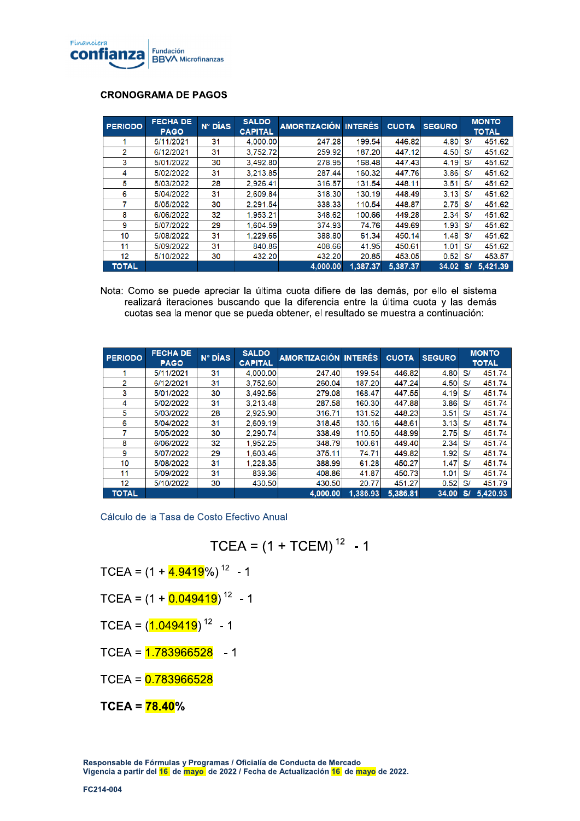

## **CRONOGRAMA DE PAGOS**

| <b>PERIODO</b>    | <b>FECHA DE</b><br><b>PAGO</b> | $N^{\circ}$ DÍAS | <b>SALDO</b><br><b>CAPITAL</b> | <b>AMORTIZACIÓN INTERÉS</b> |          | <b>CUOTA</b> | <b>SEGURO</b> |    | <b>MONTO</b><br><b>TOTAL</b> |
|-------------------|--------------------------------|------------------|--------------------------------|-----------------------------|----------|--------------|---------------|----|------------------------------|
|                   | 5/11/2021                      | 31               | 4.000.00                       | 247.28                      | 199.54   | 446.82       | 4.80          | S/ | 451.62                       |
| 2                 | 6/12/2021                      | 31               | 3.752.72                       | 259.92                      | 187.20   | 447.12       | 4.50          | S/ | 451.62                       |
| 3                 | 5/01/2022                      | 30               | 3.492.80                       | 278.95                      | 168.48   | 447.43       | 4.19          | S/ | 451.62                       |
| 4                 | 5/02/2022                      | 31               | 3.213.85                       | 287.44                      | 160.32   | 447.76       | 3.86          | S/ | 451.62                       |
| 5                 | 5/03/2022                      | 28               | 2.926.41                       | 316.57                      | 131.54   | 448.11       | 3.51          | S/ | 451.62                       |
| 6                 | 5/04/2022                      | 31               | 2.609.84                       | 318.30                      | 130.19   | 448.49       | 3.13          | S/ | 451.62                       |
| 7                 | 5/05/2022                      | 30               | 2.291.54                       | 338.33                      | 110.54   | 448.87       | 2.75          | S/ | 451.62                       |
| 8                 | 6/06/2022                      | 32               | 1,953.21                       | 348.62                      | 100.66   | 449.28       | 2.34          | S/ | 451.62                       |
| 9                 | 5/07/2022                      | 29               | 1.604.59                       | 374.93                      | 74.76    | 449.69       | 1.93          | S/ | 451.62                       |
| 10                | 5/08/2022                      | 31               | 1,229.66                       | 388.80                      | 61.34    | 450.14       | 1.48          | S/ | 451.62                       |
| 11                | 5/09/2022                      | 31               | 840.86                         | 408.66                      | 41.95    | 450.61       | 1.01          | S/ | 451.62                       |
| $12 \overline{ }$ | 5/10/2022                      | 30               | 432.20                         | 432.20                      | 20.85    | 453.05       | 0.52          | S/ | 453.57                       |
| <b>TOTAL</b>      |                                |                  |                                | 4,000.00                    | 1.387.37 | 5,387.37     | 34.02         | S/ | 5,421.39                     |

Nota: Como se puede apreciar la última cuota difiere de las demás, por ello el sistema realizará iteraciones buscando que la diferencia entre la última cuota y las demás cuotas sea la menor que se pueda obtener, el resultado se muestra a continuación:

| <b>PERIODO</b> | <b>FECHA DE</b><br><b>PAGO</b> | $N^{\circ}$ DÍAS | <b>SALDO</b><br><b>CAPITAL</b> | <b>AMORTIZACIÓN INTERÉS</b> |          | <b>CUOTA</b> | <b>SEGURO</b> |    | <b>MONTO</b><br><b>TOTAL</b> |
|----------------|--------------------------------|------------------|--------------------------------|-----------------------------|----------|--------------|---------------|----|------------------------------|
|                | 5/11/2021                      | 31               | 4,000.00                       | 247.40                      | 199.54   | 446.82       | 4.80          | S/ | 451.74                       |
| 2              | 6/12/2021                      | 31               | 3.752.60                       | 260.04                      | 187.20   | 447.24       | 4.50          | S/ | 451.74                       |
| 3              | 5/01/2022                      | 30               | 3,492.56                       | 279.08                      | 168.47   | 447.55       | 4.19          | S/ | 451.74                       |
| 4              | 5/02/2022                      | 31               | 3.213.48                       | 287.58                      | 160.30   | 447.88       | 3.86          | S/ | 451.74                       |
| 5              | 5/03/2022                      | 28               | 2.925.90                       | 316.71                      | 131.52   | 448.23       | 3.51          | S/ | 451.74                       |
| 6              | 5/04/2022                      | 31               | 2,609.19                       | 318.45                      | 130.16   | 448.61       | 3.13          | S/ | 451.74                       |
| 7              | 5/05/2022                      | 30               | 2.290.74                       | 338.49                      | 110.50   | 448.99       | 2.75          | S/ | 451.74                       |
| 8              | 6/06/2022                      | 32               | 1.952.25                       | 348.79                      | 100.61   | 449.40       | 2.34          | S/ | 451.74                       |
| 9              | 5/07/2022                      | 29               | 1,603.46                       | 375.11                      | 74.71    | 449.82       | 1.92          | S/ | 451.74                       |
| 10             | 5/08/2022                      | 31               | 1.228.35                       | 388.99                      | 61.28    | 450.27       | 1.47          | S/ | 451.74                       |
| 11             | 5/09/2022                      | 31               | 839.36                         | 408.86                      | 41.87    | 450.73       | 1.01          | S/ | 451.74                       |
| 12             | 5/10/2022                      | 30               | 430.50                         | 430.50                      | 20.77    | 451.27       | 0.52          | S/ | 451.79                       |
| <b>TOTAL</b>   |                                |                  |                                | 4.000.00                    | 1.386.93 | 5.386.81     | 34.00         | S/ | 5.420.93                     |

Cálculo de la Tasa de Costo Efectivo Anual

$$
TCEA = (1 + TCEM)^{12} - 1
$$

TCEA =  $(1 + 4.9419\%)$ <sup>12</sup> - 1

$$
TCEA = (1 + \frac{0.049419}{0.049419})^{12}
$$
 - 1

$$
TCEA = (1.049419)^{12} - 1
$$

TCEA =  $1.783966528$  - 1

 $TCEA = 0.783966528$ 

 $TCEA = 78.40%$ 

Responsable de Fórmulas y Programas / Oficialía de Conducta de Mercado Vigencia a partir del 16 de mayo de 2022 / Fecha de Actualización 16 de mayo de 2022.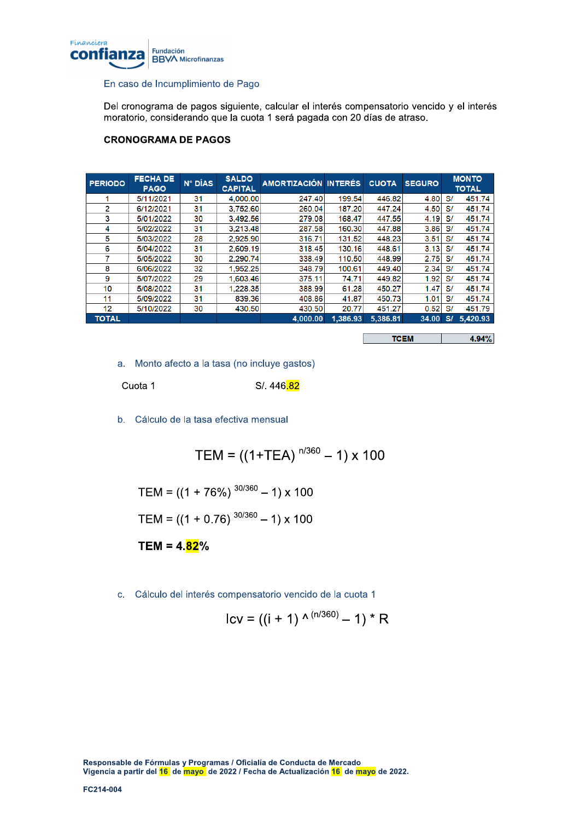

## En caso de Incumplimiento de Pago

Del cronograma de pagos siguiente, calcular el interés compensatorio vencido y el interés moratorio, considerando que la cuota 1 será pagada con 20 días de atraso.

## **CRONOGRAMA DE PAGOS**

| <b>PERIODO</b> | <b>FECHA DE</b><br><b>PAGO</b> | N° DÍAS | <b>SALDO</b><br><b>CAPITAL</b> | AMORTIZACIÓN INTERÉS |          | <b>CUOTA</b> | <b>SEGURO</b> |              | <b>MONTO</b><br><b>TOTAL</b> |
|----------------|--------------------------------|---------|--------------------------------|----------------------|----------|--------------|---------------|--------------|------------------------------|
|                | 5/11/2021                      | 31      | 4.000.00                       | 247.40               | 199.54   | 446.82       | 4.80          | $\mathbf{s}$ | 451.74                       |
| 2              | 6/12/2021                      | 31      | 3,752.60                       | 260.04               | 187.20   | 447.24       | 4.50          | S/           | 451.74                       |
| 3              | 5/01/2022                      | 30      | 3.492.56                       | 279.08               | 168.47   | 447.55       | 4.19          | S/           | 451.74                       |
| 4              | 5/02/2022                      | 31      | 3.213.48                       | 287.58               | 160.30   | 447.88       | 3.86          | S/           | 451.74                       |
| 5              | 5/03/2022                      | 28      | 2,925.90                       | 316.71               | 131.52   | 448.23       | 3.51          | S/           | 451.74                       |
| 6              | 5/04/2022                      | 31      | 2.609.19                       | 318.45               | 130.16   | 448.61       | 3.13          | $\mathbf{s}$ | 451.74                       |
|                | 5/05/2022                      | 30      | 2.290.74                       | 338.49               | 110.50   | 448.99       | 2.75          | S/           | 451.74                       |
| 8              | 6/06/2022                      | 32      | 1,952.25                       | 348.79               | 100.61   | 449.40       | 2.34          | S/           | 451.74                       |
| 9              | 5/07/2022                      | 29      | 1,603.46                       | 375.11               | 74.71    | 449.82       | 1.92          | S/           | 451.74                       |
| 10             | 5/08/2022                      | 31      | 1,228.35                       | 388.99               | 61.28    | 450.27       | 1.47          | S/           | 451.74                       |
| 11             | 5/09/2022                      | 31      | 839.36                         | 408.86               | 41.87    | 450.73       | 1.01          | S/           | 451.74                       |
| 12             | 5/10/2022                      | 30      | 430.50                         | 430.50               | 20.77    | 451.27       | 0.52          | $\mathbf{s}$ | 451.79                       |
| <b>TOTAL</b>   |                                |         |                                | 4,000.00             | 1.386.93 | 5,386.81     | 34.00         | S/           | 5,420.93                     |

**TCEM** 4.94%

a. Monto afecto a la tasa (no incluye gastos)

Cuota 1

S/. 446.82

b. Cálculo de la tasa efectiva mensual

TEM =  $((1+TEA)^{n/360} - 1) \times 100$ 

$$
TEM = ((1 + 76\%)^{30/360} - 1) \times 100
$$

$$
TEM = ((1 + 0.76)^{30/360} - 1) \times 100
$$

TEM =  $4.\overline{82}\%$ 

c. Cálculo del interés compensatorio vencido de la cuota 1

$$
Icv = ((i + 1) \wedge (n/360) - 1) * R
$$

Responsable de Fórmulas y Programas / Oficialía de Conducta de Mercado Vigencia a partir del 16 de mayo de 2022 / Fecha de Actualización 16 de mayo de 2022.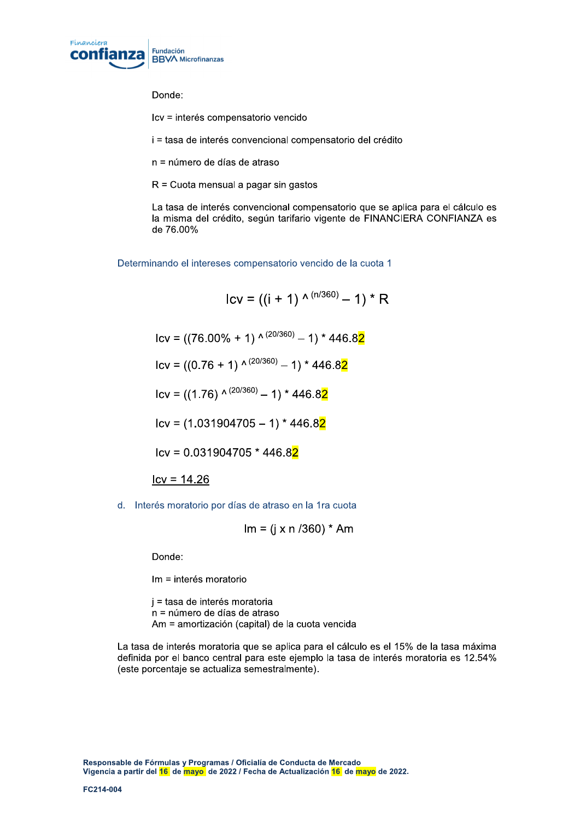

Donde:

lcv = interés compensatorio vencido

i = tasa de interés convencional compensatorio del crédito

 $n =$ número de días de atraso

 $R =$  Cuota mensual a pagar sin gastos

La tasa de interés convencional compensatorio que se aplica para el cálculo es la misma del crédito, según tarifario vigente de FINANCIERA CONFIANZA es de 76.00%

Determinando el intereses compensatorio vencido de la cuota 1

 $Icv = ((i + 1) \wedge (n/360) - 1) * R$  $\text{Cov} = ((76.00\% + 1) \wedge (20/360) - 1) * 446.82$  $\text{lcv} = ((0.76 + 1) \wedge (20/360) - 1) * 446.82$  $I_{\text{CV}} = ((1.76) \wedge (20/360) - 1) * 446.82$  $Icv = (1.031904705 - 1) * 446.82$  $Icv = 0.031904705 * 446.82$  $Icv = 14.26$ 

d. Interés moratorio por días de atraso en la 1ra cuota

$$
Im = (i \times n / 360) * Am
$$

Donde:

Im = interés moratorio

 $i =$  tasa de interés moratoria  $n =$ número de días de atraso Am = amortización (capital) de la cuota vencida

La tasa de interés moratoria que se aplica para el cálculo es el 15% de la tasa máxima definida por el banco central para este ejemplo la tasa de interés moratoria es 12.54% (este porcentaje se actualiza semestralmente).

Responsable de Fórmulas y Programas / Oficialía de Conducta de Mercado Vigencia a partir del 16 de mayo, de 2022 / Fecha de Actualización 16 de mayo de 2022. Responsable de Fórmulas<br>Vigencia a partir del <mark>16</mark> de<br>FC214-004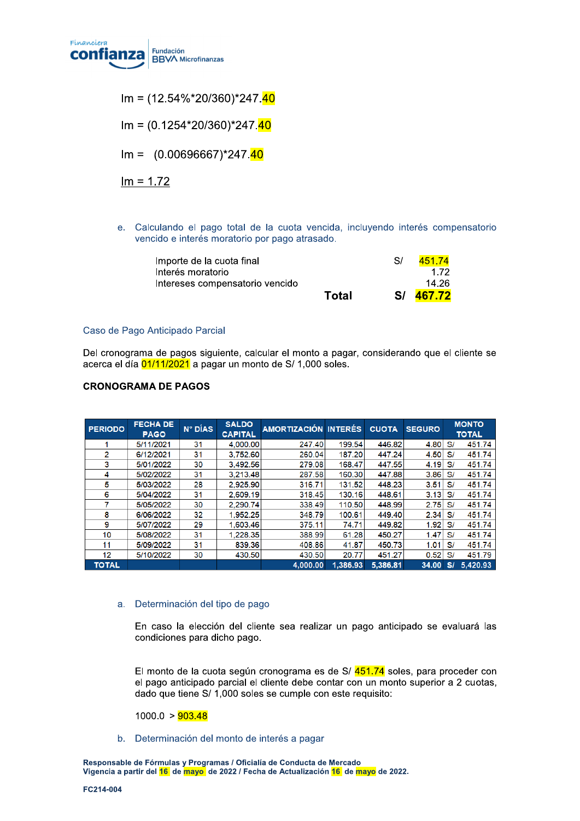

 $Im = (12.54\% * 20/360) * 247.40$ 

 $Im = (0.1254*20/360)*247.40$ 

 $Im = (0.00696667)^*247.40$ 

 $Im = 1.72$ 

e. Calculando el pago total de la cuota vencida, incluyendo interés compensatorio vencido e interés moratorio por pago atrasado.

| Importe de la cuota final       |       | S/ | 451.74    |
|---------------------------------|-------|----|-----------|
| Interés moratorio               |       |    | 172       |
| Intereses compensatorio vencido |       |    | 14.26     |
|                                 | Total |    | S/ 467.72 |

## Caso de Pago Anticipado Parcial

Del cronograma de pagos siguiente, calcular el monto a pagar, considerando que el cliente se acerca el día 01/11/2021 a pagar un monto de S/ 1,000 soles.

### **CRONOGRAMA DE PAGOS**

| <b>PERIODO</b> | <b>FECHA DE</b><br><b>PAGO</b> | N° DÍAS | <b>SALDO</b><br><b>CAPITAL</b> | AMORTIZACIÓN INTERÉS |          | <b>CUOTA</b> | <b>SEGURO</b> |    | <b>MONTO</b><br><b>TOTAL</b> |
|----------------|--------------------------------|---------|--------------------------------|----------------------|----------|--------------|---------------|----|------------------------------|
|                | 5/11/2021                      | 31      | 4.000.00                       | 247.40               | 199.54   | 446.82       | 4.80          | S/ | 451.74                       |
| 2              | 6/12/2021                      | 31      | 3.752.60                       | 260.04               | 187.20   | 447.24       | 4.50          | S/ | 451.74                       |
| 3              | 5/01/2022                      | 30      | 3.492.56                       | 279.08               | 168.47   | 447.55       | 4.19          | S/ | 451.74                       |
| 4              | 5/02/2022                      | 31      | 3.213.48                       | 287.58               | 160.30   | 447.88       | 3.86          | S/ | 451.74                       |
| 5              | 5/03/2022                      | 28      | 2.925.90                       | 316.71               | 131.52   | 448.23       | 3.51          | S/ | 451.74                       |
| 6              | 5/04/2022                      | 31      | 2.609.19                       | 318.45               | 130.16   | 448.61       | 3.13          | S/ | 451.74                       |
|                | 5/05/2022                      | 30      | 2.290.74                       | 338.49               | 110.50   | 448.99       | 2.75          | S/ | 451.74                       |
| 8              | 6/06/2022                      | 32      | 1.952.25                       | 348.79               | 100.61   | 449.40       | 2.34          | S/ | 451.74                       |
| 9              | 5/07/2022                      | 29      | 1.603.46                       | 375.11               | 74.71    | 449.82       | 1.92          | S/ | 451.74                       |
| 10             | 5/08/2022                      | 31      | 1.228.35                       | 388.99               | 61.28    | 450.27       | 1.47          | S/ | 451.74                       |
| 11             | 5/09/2022                      | 31      | 839.36                         | 408.86               | 41.87    | 450.73       | 1.01          | S/ | 451.74                       |
| 12             | 5/10/2022                      | 30      | 430.50                         | 430.50               | 20.77    | 451.27       | 0.52          | S/ | 451.79                       |
| <b>TOTAL</b>   |                                |         |                                | 4.000.00             | 1.386.93 | 5,386.81     | 34.00         | S/ | 5,420.93                     |

## a. Determinación del tipo de pago

En caso la elección del cliente sea realizar un pago anticipado se evaluará las condiciones para dicho pago.

El monto de la cuota según cronograma es de S/ 451.74 soles, para proceder con el pago anticipado parcial el cliente debe contar con un monto superior a 2 cuotas, dado que tiene S/ 1,000 soles se cumple con este requisito:

 $1000.0 > 903.48$ 

b. Determinación del monto de interés a pagar

Responsable de Fórmulas y Programas / Oficialía de Conducta de Mercado Vigencia a partir del <mark>16</mark> de mayo de 2022 / Fecha de Actualización <mark>16</mark> de mayo de 2022.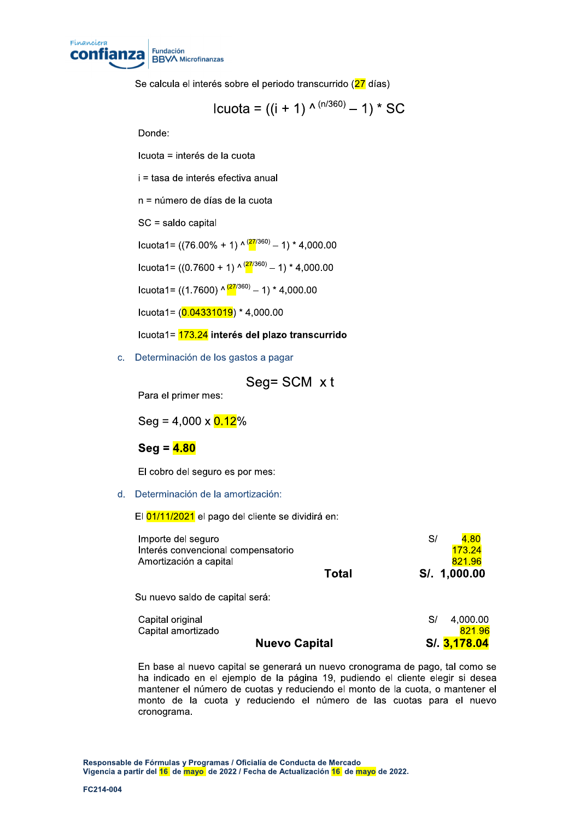

Se calcula el interés sobre el periodo transcurrido (27 días)

lcuota = ((i + 1) 
$$
^{\wedge (n/360)} - 1
$$
) \* SC

Donde:

Icuota = interés de la cuota

i = tasa de interés efectiva anual

n = número de días de la cuota

SC = saldo capital

Icuota1=  $((76.00\% + 1) \cdot \frac{(27/360)}{2} - 1) * 4,000.00$ 

Icuota1=  $((0.7600 + 1) \cdot \frac{(27/360)}{9} - 1) * 4,000.00$ 

Icuota1= ((1.7600)  $\wedge$   $\frac{(27}{360)}$  - 1) \* 4,000.00

Icuota1= $(0.04331019)$  \* 4,000.00

Icuota1= 173.24 interés del plazo transcurrido

c. Determinación de los gastos a pagar

$$
Seg = SCM \times t
$$

Para el primer mes:

Seg =  $4,000 \times 0.12\%$ 

## $Seq = 4.80$

El cobro del seguro es por mes:

d. Determinación de la amortización:

El 01/11/2021 el pago del cliente se dividirá en:

| Importe del seguro<br>Interés convencional compensatorio<br>Amortización a capital |       | 4.80<br>S/<br>173.24<br>821.96 |
|------------------------------------------------------------------------------------|-------|--------------------------------|
|                                                                                    | Total | S/. 1,000.00                   |
| Su nuevo saldo de capital será:                                                    |       |                                |
| Capital original<br>Capital amortizado                                             |       | 4,000.00<br>S/<br>821.96       |
| <b>Nuevo Capital</b>                                                               |       | S/. 3,178.04                   |

En base al nuevo capital se generará un nuevo cronograma de pago, tal como se ha indicado en el ejemplo de la página 19, pudiendo el cliente elegir si desea mantener el número de cuotas y reduciendo el monto de la cuota, o mantener el monto de la cuota y reduciendo el número de las cuotas para el nuevo cronograma.

Responsable de Fórmulas y Programas / Oficialía de Conducta de Mercado Vigencia a partir del 16 de mayo de 2022 / Fecha de Actualización 16 de mayo de 2022.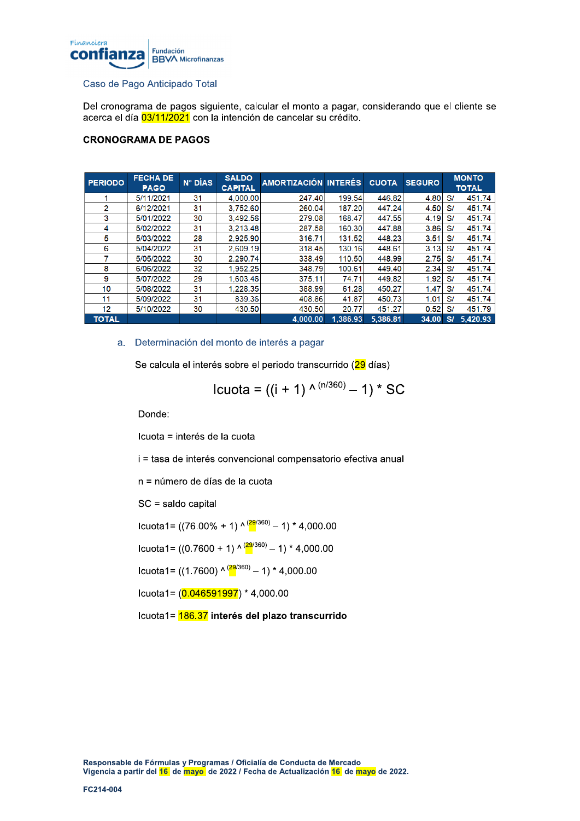

## Caso de Pago Anticipado Total

Del cronograma de pagos siguiente, calcular el monto a pagar, considerando que el cliente se acerca el día 03/11/2021 con la intención de cancelar su crédito.

## **CRONOGRAMA DE PAGOS**

| <b>PERIODO</b> | <b>FECHA DE</b><br><b>PAGO</b> | N° DÍAS | <b>SALDO</b><br><b>CAPITAL</b> | AMORTIZACIÓN INTERÉS |          | <b>CUOTA</b> | <b>SEGURO</b> |    | <b>MONTO</b><br><b>TOTAL</b> |
|----------------|--------------------------------|---------|--------------------------------|----------------------|----------|--------------|---------------|----|------------------------------|
|                | 5/11/2021                      | 31      | 4,000.00                       | 247.40               | 199.54   | 446.82       | 4.80          | S/ | 451.74                       |
| 2              | 6/12/2021                      | 31      | 3.752.60                       | 260.04               | 187.20   | 447.24       | 4.50          | S/ | 451.74                       |
| 3              | 5/01/2022                      | 30      | 3.492.56                       | 279.08               | 168.47   | 447.55       | 4.19          | S/ | 451.74                       |
| 4              | 5/02/2022                      | 31      | 3.213.48                       | 287.58               | 160.30   | 447.88       | 3.86          | S/ | 451.74                       |
| 5              | 5/03/2022                      | 28      | 2.925.90                       | 316.71               | 131.52   | 448.23       | 3.51          | S/ | 451.74                       |
| 6              | 5/04/2022                      | 31      | 2.609.19                       | 318.45               | 130.16   | 448.61       | 3.13          | S/ | 451.74                       |
|                | 5/05/2022                      | 30      | 2.290.74                       | 338.49               | 110.50   | 448.99       | 2.75          | S/ | 451.74                       |
| 8              | 6/06/2022                      | 32      | 1.952.25                       | 348.79               | 100.61   | 449.40       | 2.34          | S/ | 451.74                       |
| 9              | 5/07/2022                      | 29      | 1.603.46                       | 375.11               | 74.71    | 449.82       | 1.92          | S/ | 451.74                       |
| 10             | 5/08/2022                      | 31      | 1.228.35                       | 388.99               | 61.28    | 450.27       | 1.47          | S/ | 451.74                       |
| 11             | 5/09/2022                      | 31      | 839.36                         | 408.86               | 41.87    | 450.73       | 1.01          | S/ | 451.74                       |
| 12             | 5/10/2022                      | 30      | 430.50                         | 430.50               | 20.77    | 451.27       | 0.52          | S/ | 451.79                       |
| <b>TOTAL</b>   |                                |         |                                | 4.000.00             | 1.386.93 | 5.386.81     | 34.00         | S/ | 5,420.93                     |

## a. Determinación del monto de interés a pagar

Se calcula el interés sobre el periodo transcurrido (29 días)

lcuota = ((i + 1) 
$$
^{\wedge (n/360)} - 1
$$
) \* SC

Donde:

Icuota = interés de la cuota

i = tasa de interés convencional compensatorio efectiva anual

n = número de días de la cuota

SC = saldo capital

Icuota1=  $((76.00\% + 1) \wedge \frac{(29/360)}{2}) - 1 \times 4,000.00$ 

lcuota1= ((0.7600 + 1) 
$$
\wedge
$$
 <sup>(29/360)</sup> – 1) \* 4,000.00

Icuota1= ((1.7600)  $\wedge \frac{(29}{360)}$  - 1) \* 4,000.00

Icuota1= $(0.046591997)$  \* 4,000.00

Icuota1= 186.37 interés del plazo transcurrido